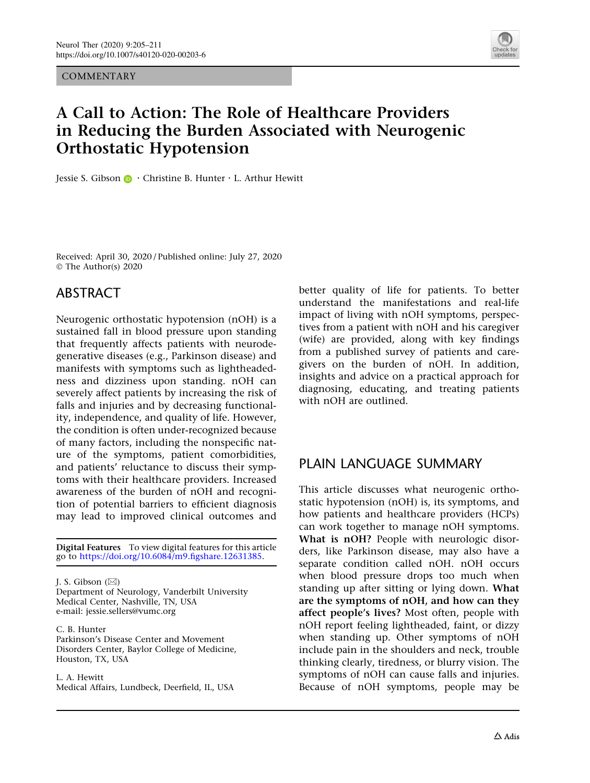**COMMENTARY** 



# A Call to Action: The Role of Healthcare Providers in Reducing the Burden Associated with Neurogenic Orthostatic Hypotension

Jessie S. Gibson **D** ⋅ Christine B. Hunter ⋅ L. Arthur Hewitt

Received: April 30, 2020 / Published online: July 27, 2020 © The Author(s) 2020

### ABSTRACT

Neurogenic orthostatic hypotension (nOH) is a sustained fall in blood pressure upon standing that frequently affects patients with neurodegenerative diseases (e.g., Parkinson disease) and manifests with symptoms such as lightheadedness and dizziness upon standing. nOH can severely affect patients by increasing the risk of falls and injuries and by decreasing functionality, independence, and quality of life. However, the condition is often under-recognized because of many factors, including the nonspecific nature of the symptoms, patient comorbidities, and patients' reluctance to discuss their symptoms with their healthcare providers. Increased awareness of the burden of nOH and recognition of potential barriers to efficient diagnosis may lead to improved clinical outcomes and

Digital Features To view digital features for this article go to [https://doi.org/10.6084/m9.figshare.12631385.](https://doi.org/10.6084/m9.figshare.12631385)

J. S. Gibson  $(\boxtimes)$ 

Department of Neurology, Vanderbilt University Medical Center, Nashville, TN, USA e-mail: jessie.sellers@vumc.org

C. B. Hunter Parkinson's Disease Center and Movement Disorders Center, Baylor College of Medicine, Houston, TX, USA

L. A. Hewitt Medical Affairs, Lundbeck, Deerfield, IL, USA better quality of life for patients. To better understand the manifestations and real-life impact of living with nOH symptoms, perspectives from a patient with nOH and his caregiver (wife) are provided, along with key findings from a published survey of patients and caregivers on the burden of nOH. In addition, insights and advice on a practical approach for diagnosing, educating, and treating patients with nOH are outlined.

### PLAIN LANGUAGE SUMMARY

This article discusses what neurogenic orthostatic hypotension (nOH) is, its symptoms, and how patients and healthcare providers (HCPs) can work together to manage nOH symptoms. What is nOH? People with neurologic disorders, like Parkinson disease, may also have a separate condition called nOH. nOH occurs when blood pressure drops too much when standing up after sitting or lying down. What are the symptoms of nOH, and how can they affect people's lives? Most often, people with nOH report feeling lightheaded, faint, or dizzy when standing up. Other symptoms of nOH include pain in the shoulders and neck, trouble thinking clearly, tiredness, or blurry vision. The symptoms of nOH can cause falls and injuries. Because of nOH symptoms, people may be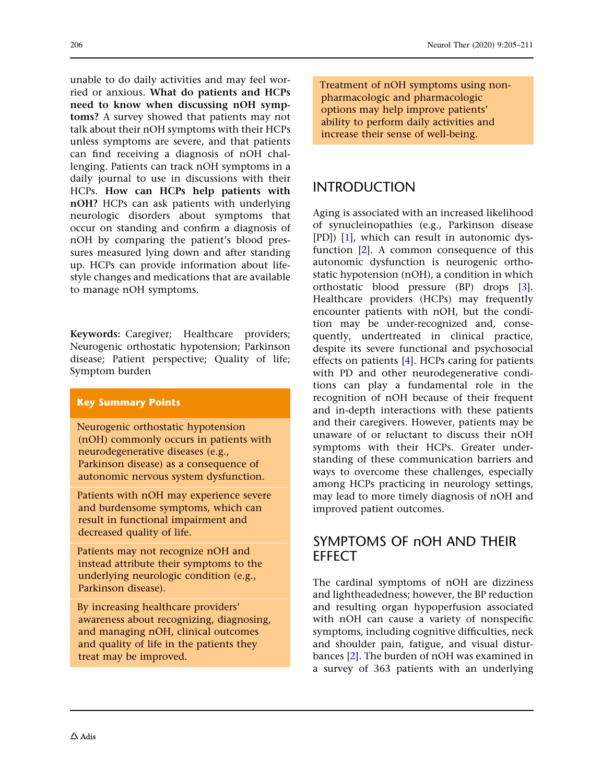unable to do daily activities and may feel worried or anxious. What do patients and HCPs need to know when discussing nOH symptoms? A survey showed that patients may not talk about their nOH symptoms with their HCPs unless symptoms are severe, and that patients can find receiving a diagnosis of nOH challenging. Patients can track nOH symptoms in a daily journal to use in discussions with their HCPs. How can HCPs help patients with nOH? HCPs can ask patients with underlying neurologic disorders about symptoms that occur on standing and confirm a diagnosis of nOH by comparing the patient's blood pressures measured lying down and after standing up. HCPs can provide information about lifestyle changes and medications that are available to manage nOH symptoms.

Keywords: Caregiver; Healthcare providers; Neurogenic orthostatic hypotension; Parkinson disease; Patient perspective; Quality of life; Symptom burden

#### Key Summary Points

Neurogenic orthostatic hypotension (nOH) commonly occurs in patients with neurodegenerative diseases (e.g., Parkinson disease) as a consequence of autonomic nervous system dysfunction.

Patients with nOH may experience severe and burdensome symptoms, which can result in functional impairment and decreased quality of life.

Patients may not recognize nOH and instead attribute their symptoms to the underlying neurologic condition (e.g., Parkinson disease).

By increasing healthcare providers' awareness about recognizing, diagnosing, and managing nOH, clinical outcomes and quality of life in the patients they treat may be improved.

Treatment of nOH symptoms using nonpharmacologic and pharmacologic options may help improve patients' ability to perform daily activities and increase their sense of well-being.

## INTRODUCTION

Aging is associated with an increased likelihood of synucleinopathies (e.g., Parkinson disease [PD]) [[1](#page-6-0)], which can result in autonomic dysfunction [[2\]](#page-6-0). A common consequence of this autonomic dysfunction is neurogenic orthostatic hypotension (nOH), a condition in which orthostatic blood pressure (BP) drops [[3](#page-6-0)]. Healthcare providers (HCPs) may frequently encounter patients with nOH, but the condition may be under-recognized and, consequently, undertreated in clinical practice, despite its severe functional and psychosocial effects on patients [[4](#page-6-0)]. HCPs caring for patients with PD and other neurodegenerative conditions can play a fundamental role in the recognition of nOH because of their frequent and in-depth interactions with these patients and their caregivers. However, patients may be unaware of or reluctant to discuss their nOH symptoms with their HCPs. Greater understanding of these communication barriers and ways to overcome these challenges, especially among HCPs practicing in neurology settings, may lead to more timely diagnosis of nOH and improved patient outcomes.

### SYMPTOMS OF nOH AND THEIR **EFFECT**

The cardinal symptoms of nOH are dizziness and lightheadedness; however, the BP reduction and resulting organ hypoperfusion associated with nOH can cause a variety of nonspecific symptoms, including cognitive difficulties, neck and shoulder pain, fatigue, and visual disturbances [\[2](#page-6-0)]. The burden of nOH was examined in a survey of 363 patients with an underlying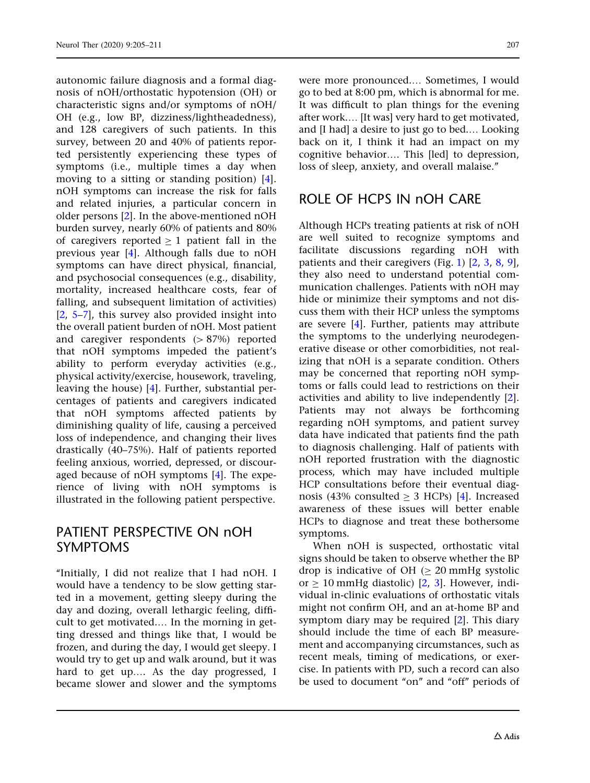autonomic failure diagnosis and a formal diagnosis of nOH/orthostatic hypotension (OH) or characteristic signs and/or symptoms of nOH/ OH (e.g., low BP, dizziness/lightheadedness), and 128 caregivers of such patients. In this survey, between 20 and 40% of patients reported persistently experiencing these types of symptoms (i.e., multiple times a day when moving to a sitting or standing position) [\[4\]](#page-6-0). nOH symptoms can increase the risk for falls and related injuries, a particular concern in older persons [\[2](#page-6-0)]. In the above-mentioned nOH burden survey, nearly 60% of patients and 80% of caregivers reported  $\geq 1$  patient fall in the previous year [\[4\]](#page-6-0). Although falls due to nOH symptoms can have direct physical, financial, and psychosocial consequences (e.g., disability, mortality, increased healthcare costs, fear of falling, and subsequent limitation of activities)  $[2, 5-7]$  $[2, 5-7]$ , this survey also provided insight into the overall patient burden of nOH. Most patient and caregiver respondents  $(> 87%)$  reported that nOH symptoms impeded the patient's ability to perform everyday activities (e.g., physical activity/exercise, housework, traveling, leaving the house) [[4\]](#page-6-0). Further, substantial percentages of patients and caregivers indicated that nOH symptoms affected patients by diminishing quality of life, causing a perceived loss of independence, and changing their lives drastically (40–75%). Half of patients reported feeling anxious, worried, depressed, or discouraged because of nOH symptoms [[4\]](#page-6-0). The experience of living with nOH symptoms is illustrated in the following patient perspective.

#### PATIENT PERSPECTIVE ON nOH SYMPTOMS

''Initially, I did not realize that I had nOH. I would have a tendency to be slow getting started in a movement, getting sleepy during the day and dozing, overall lethargic feeling, difficult to get motivated.… In the morning in getting dressed and things like that, I would be frozen, and during the day, I would get sleepy. I would try to get up and walk around, but it was hard to get up…. As the day progressed, I became slower and slower and the symptoms

were more pronounced.… Sometimes, I would go to bed at 8:00 pm, which is abnormal for me. It was difficult to plan things for the evening after work.… [It was] very hard to get motivated, and [I had] a desire to just go to bed.… Looking back on it, I think it had an impact on my cognitive behavior…. This [led] to depression, loss of sleep, anxiety, and overall malaise.''

#### ROLE OF HCPS IN nOH CARE

Although HCPs treating patients at risk of nOH are well suited to recognize symptoms and facilitate discussions regarding nOH with patients and their caregivers (Fig. [1](#page-4-0)) [[2](#page-6-0), [3](#page-6-0), [8](#page-6-0), [9](#page-6-0)], they also need to understand potential communication challenges. Patients with nOH may hide or minimize their symptoms and not discuss them with their HCP unless the symptoms are severe [[4](#page-6-0)]. Further, patients may attribute the symptoms to the underlying neurodegenerative disease or other comorbidities, not realizing that nOH is a separate condition. Others may be concerned that reporting nOH symptoms or falls could lead to restrictions on their activities and ability to live independently [\[2](#page-6-0)]. Patients may not always be forthcoming regarding nOH symptoms, and patient survey data have indicated that patients find the path to diagnosis challenging. Half of patients with nOH reported frustration with the diagnostic process, which may have included multiple HCP consultations before their eventual diagnosis (43% consulted  $> 3$  HCPs) [\[4\]](#page-6-0). Increased awareness of these issues will better enable HCPs to diagnose and treat these bothersome symptoms.

When nOH is suspected, orthostatic vital signs should be taken to observe whether the BP drop is indicative of OH  $( \geq 20 \text{ mmHg} \text{ systolic} )$ or  $\geq 10$  mmHg diastolic) [[2,](#page-6-0) [3](#page-6-0)]. However, individual in-clinic evaluations of orthostatic vitals might not confirm OH, and an at-home BP and symptom diary may be required [[2](#page-6-0)]. This diary should include the time of each BP measurement and accompanying circumstances, such as recent meals, timing of medications, or exercise. In patients with PD, such a record can also be used to document "on" and "off" periods of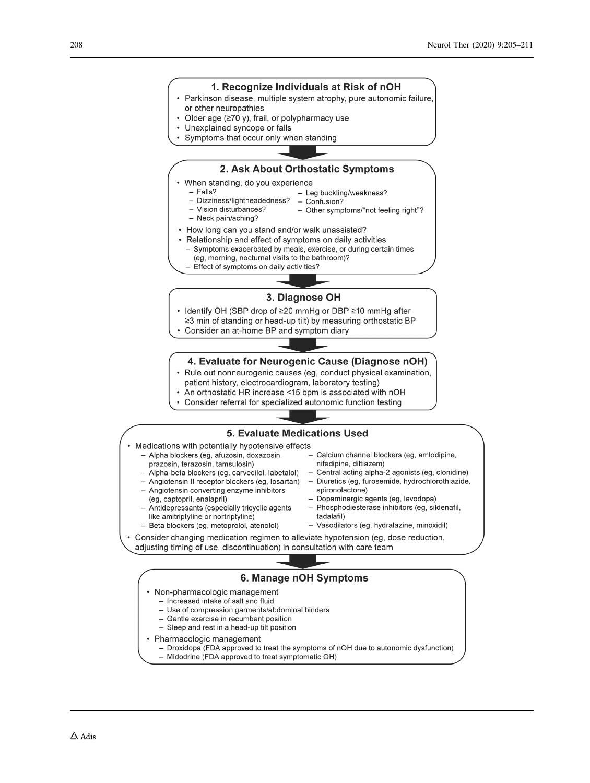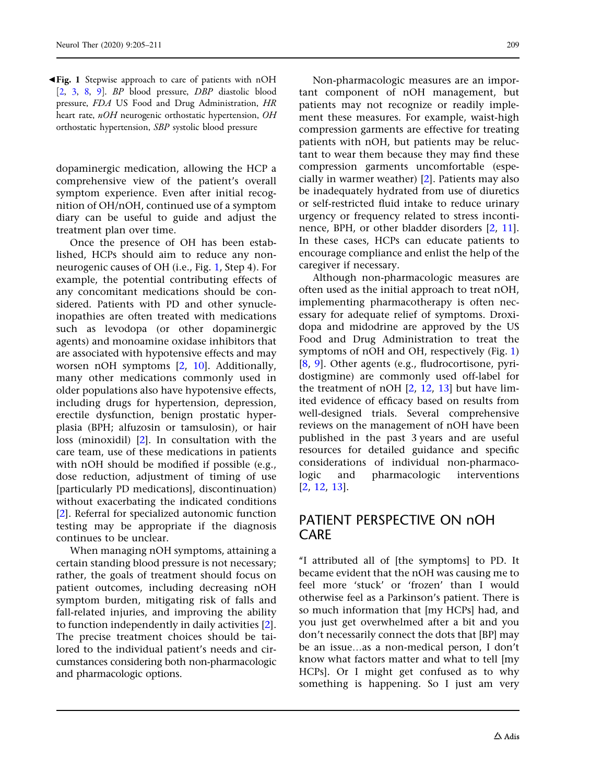<span id="page-4-0"></span> $\blacktriangleleft$  **Fig. 1** Stepwise approach to care of patients with nOH [\[2,](#page-6-0) [3](#page-6-0), [8,](#page-6-0) [9\]](#page-6-0). BP blood pressure, DBP diastolic blood pressure, FDA US Food and Drug Administration, HR heart rate, nOH neurogenic orthostatic hypertension, OH orthostatic hypertension, SBP systolic blood pressure

dopaminergic medication, allowing the HCP a comprehensive view of the patient's overall symptom experience. Even after initial recognition of OH/nOH, continued use of a symptom diary can be useful to guide and adjust the treatment plan over time.

Once the presence of OH has been established, HCPs should aim to reduce any nonneurogenic causes of OH (i.e., Fig. 1, Step 4). For example, the potential contributing effects of any concomitant medications should be considered. Patients with PD and other synucleinopathies are often treated with medications such as levodopa (or other dopaminergic agents) and monoamine oxidase inhibitors that are associated with hypotensive effects and may worsen nOH symptoms [[2](#page-6-0), [10](#page-6-0)]. Additionally, many other medications commonly used in older populations also have hypotensive effects, including drugs for hypertension, depression, erectile dysfunction, benign prostatic hyperplasia (BPH; alfuzosin or tamsulosin), or hair loss (minoxidil) [[2\]](#page-6-0). In consultation with the care team, use of these medications in patients with nOH should be modified if possible (e.g., dose reduction, adjustment of timing of use [particularly PD medications], discontinuation) without exacerbating the indicated conditions [\[2\]](#page-6-0). Referral for specialized autonomic function testing may be appropriate if the diagnosis continues to be unclear.

When managing nOH symptoms, attaining a certain standing blood pressure is not necessary; rather, the goals of treatment should focus on patient outcomes, including decreasing nOH symptom burden, mitigating risk of falls and fall-related injuries, and improving the ability to function independently in daily activities [\[2\]](#page-6-0). The precise treatment choices should be tailored to the individual patient's needs and circumstances considering both non-pharmacologic and pharmacologic options.

Non-pharmacologic measures are an important component of nOH management, but patients may not recognize or readily implement these measures. For example, waist-high compression garments are effective for treating patients with nOH, but patients may be reluctant to wear them because they may find these compression garments uncomfortable (especially in warmer weather) [[2\]](#page-6-0). Patients may also be inadequately hydrated from use of diuretics or self-restricted fluid intake to reduce urinary urgency or frequency related to stress incontinence, BPH, or other bladder disorders [\[2,](#page-6-0) [11](#page-6-0)]. In these cases, HCPs can educate patients to encourage compliance and enlist the help of the caregiver if necessary.

Although non-pharmacologic measures are often used as the initial approach to treat nOH, implementing pharmacotherapy is often necessary for adequate relief of symptoms. Droxidopa and midodrine are approved by the US Food and Drug Administration to treat the symptoms of nOH and OH, respectively (Fig. 1) [\[8,](#page-6-0) [9](#page-6-0)]. Other agents (e.g., fludrocortisone, pyridostigmine) are commonly used off-label for the treatment of nOH  $[2, 12, 13]$  $[2, 12, 13]$  $[2, 12, 13]$  $[2, 12, 13]$  $[2, 12, 13]$  but have limited evidence of efficacy based on results from well-designed trials. Several comprehensive reviews on the management of nOH have been published in the past 3 years and are useful resources for detailed guidance and specific considerations of individual non-pharmacologic and pharmacologic interventions [\[2,](#page-6-0) [12,](#page-6-0) [13](#page-6-0)].

#### PATIENT PERSPECTIVE ON nOH CARE

''I attributed all of [the symptoms] to PD. It became evident that the nOH was causing me to feel more 'stuck' or 'frozen' than I would otherwise feel as a Parkinson's patient. There is so much information that [my HCPs] had, and you just get overwhelmed after a bit and you don't necessarily connect the dots that [BP] may be an issue…as a non-medical person, I don't know what factors matter and what to tell [my HCPs]. Or I might get confused as to why something is happening. So I just am very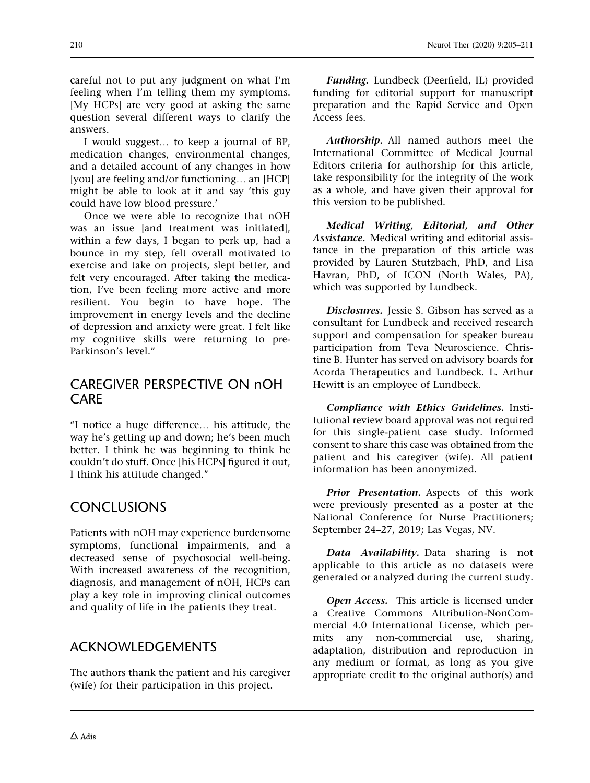careful not to put any judgment on what I'm feeling when I'm telling them my symptoms. [My HCPs] are very good at asking the same question several different ways to clarify the answers.

I would suggest… to keep a journal of BP, medication changes, environmental changes, and a detailed account of any changes in how [you] are feeling and/or functioning… an [HCP] might be able to look at it and say 'this guy could have low blood pressure.'

Once we were able to recognize that nOH was an issue [and treatment was initiated], within a few days, I began to perk up, had a bounce in my step, felt overall motivated to exercise and take on projects, slept better, and felt very encouraged. After taking the medication, I've been feeling more active and more resilient. You begin to have hope. The improvement in energy levels and the decline of depression and anxiety were great. I felt like my cognitive skills were returning to pre-Parkinson's level.''

### CAREGIVER PERSPECTIVE ON nOH CARE

''I notice a huge difference… his attitude, the way he's getting up and down; he's been much better. I think he was beginning to think he couldn't do stuff. Once [his HCPs] figured it out, I think his attitude changed.''

## **CONCLUSIONS**

Patients with nOH may experience burdensome symptoms, functional impairments, and a decreased sense of psychosocial well-being. With increased awareness of the recognition, diagnosis, and management of nOH, HCPs can play a key role in improving clinical outcomes and quality of life in the patients they treat.

### ACKNOWLEDGEMENTS

The authors thank the patient and his caregiver (wife) for their participation in this project.

Funding. Lundbeck (Deerfield, IL) provided funding for editorial support for manuscript preparation and the Rapid Service and Open Access fees.

Authorship. All named authors meet the International Committee of Medical Journal Editors criteria for authorship for this article, take responsibility for the integrity of the work as a whole, and have given their approval for this version to be published.

Medical Writing, Editorial, and Other Assistance. Medical writing and editorial assistance in the preparation of this article was provided by Lauren Stutzbach, PhD, and Lisa Havran, PhD, of ICON (North Wales, PA), which was supported by Lundbeck.

Disclosures. Jessie S. Gibson has served as a consultant for Lundbeck and received research support and compensation for speaker bureau participation from Teva Neuroscience. Christine B. Hunter has served on advisory boards for Acorda Therapeutics and Lundbeck. L. Arthur Hewitt is an employee of Lundbeck.

Compliance with Ethics Guidelines. Institutional review board approval was not required for this single-patient case study. Informed consent to share this case was obtained from the patient and his caregiver (wife). All patient information has been anonymized.

Prior Presentation. Aspects of this work were previously presented as a poster at the National Conference for Nurse Practitioners; September 24–27, 2019; Las Vegas, NV.

Data Availability. Data sharing is not applicable to this article as no datasets were generated or analyzed during the current study.

Open Access. This article is licensed under a Creative Commons Attribution-NonCommercial 4.0 International License, which permits any non-commercial use, sharing, adaptation, distribution and reproduction in any medium or format, as long as you give appropriate credit to the original author(s) and